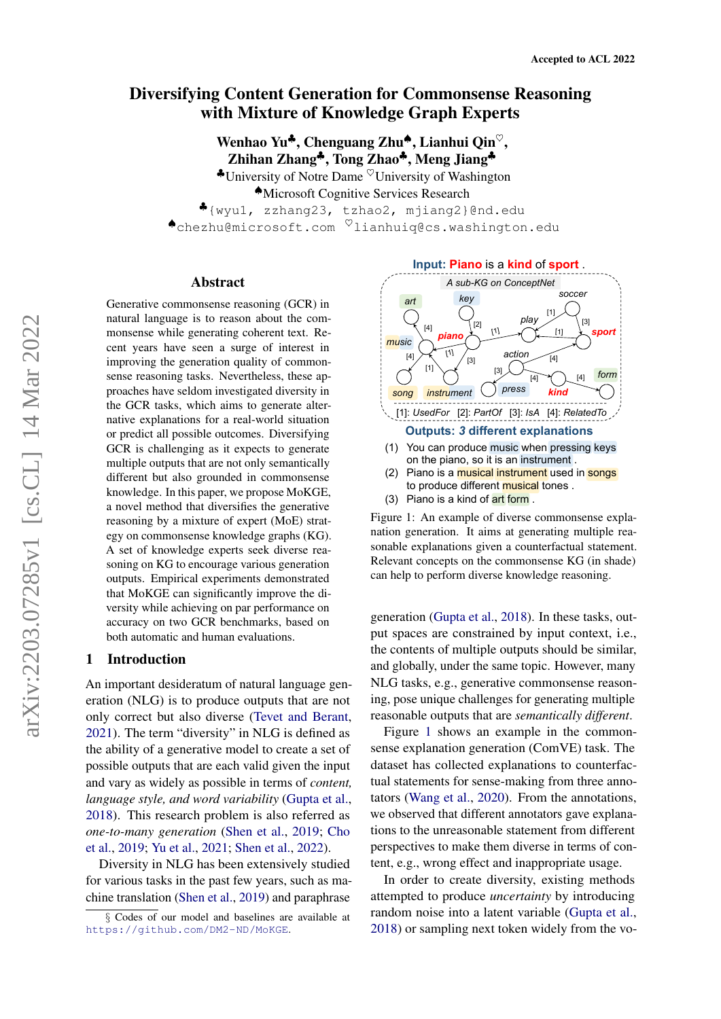# <span id="page-0-1"></span>Diversifying Content Generation for Commonsense Reasoning with Mixture of Knowledge Graph Experts

Wenhao Yu<sup>4</sup>, Chenguang Zhu<sup>4</sup>, Lianhui Qin<sup> $\heartsuit$ </sup>, Zhihan Zhang♣, Tong Zhao♣, Meng Jiang♣  $\bullet$ University of Notre Dame  $\heartsuit$ University of Washington ♠Microsoft Cognitive Services Research

♣{wyu1, zzhang23, tzhao2, mjiang2}@nd.edu ♠chezhu@microsoft.com ♥lianhuiq@cs.washington.edu

#### Abstract

Generative commonsense reasoning (GCR) in natural language is to reason about the commonsense while generating coherent text. Recent years have seen a surge of interest in improving the generation quality of commonsense reasoning tasks. Nevertheless, these approaches have seldom investigated diversity in the GCR tasks, which aims to generate alternative explanations for a real-world situation or predict all possible outcomes. Diversifying GCR is challenging as it expects to generate multiple outputs that are not only semantically different but also grounded in commonsense knowledge. In this paper, we propose MoKGE, a novel method that diversifies the generative reasoning by a mixture of expert (MoE) strategy on commonsense knowledge graphs (KG). A set of knowledge experts seek diverse reasoning on KG to encourage various generation outputs. Empirical experiments demonstrated that MoKGE can significantly improve the diversity while achieving on par performance on accuracy on two GCR benchmarks, based on both automatic and human evaluations.

# 1 Introduction

An important desideratum of natural language generation (NLG) is to produce outputs that are not only correct but also diverse [\(Tevet and Berant,](#page-10-0) [2021\)](#page-10-0). The term "diversity" in NLG is defined as the ability of a generative model to create a set of possible outputs that are each valid given the input and vary as widely as possible in terms of *content, language style, and word variability* [\(Gupta et al.,](#page-9-0) [2018\)](#page-9-0). This research problem is also referred as *one-to-many generation* [\(Shen et al.,](#page-10-1) [2019;](#page-10-1) [Cho](#page-9-1) [et al.,](#page-9-1) [2019;](#page-9-1) [Yu et al.,](#page-10-2) [2021;](#page-10-2) [Shen et al.,](#page-10-3) [2022\)](#page-10-3).

Diversity in NLG has been extensively studied for various tasks in the past few years, such as machine translation [\(Shen et al.,](#page-10-1) [2019\)](#page-10-1) and paraphrase

<span id="page-0-0"></span>

- to produce different **musical** tones.
- (3) Piano is a kind of art form .

Figure 1: An example of diverse commonsense explanation generation. It aims at generating multiple reasonable explanations given a counterfactual statement. Relevant concepts on the commonsense KG (in shade) can help to perform diverse knowledge reasoning.

generation [\(Gupta et al.,](#page-9-0) [2018\)](#page-9-0). In these tasks, output spaces are constrained by input context, i.e., the contents of multiple outputs should be similar, and globally, under the same topic. However, many NLG tasks, e.g., generative commonsense reasoning, pose unique challenges for generating multiple reasonable outputs that are *semantically different*.

Figure [1](#page-0-0) shows an example in the commonsense explanation generation (ComVE) task. The dataset has collected explanations to counterfactual statements for sense-making from three annotators [\(Wang et al.,](#page-10-4) [2020\)](#page-10-4). From the annotations, we observed that different annotators gave explanations to the unreasonable statement from different perspectives to make them diverse in terms of content, e.g., wrong effect and inappropriate usage.

In order to create diversity, existing methods attempted to produce *uncertainty* by introducing random noise into a latent variable [\(Gupta et al.,](#page-9-0) [2018\)](#page-9-0) or sampling next token widely from the vo-

<sup>§</sup> Codes of our model and baselines are available at <https://github.com/DM2-ND/MoKGE>.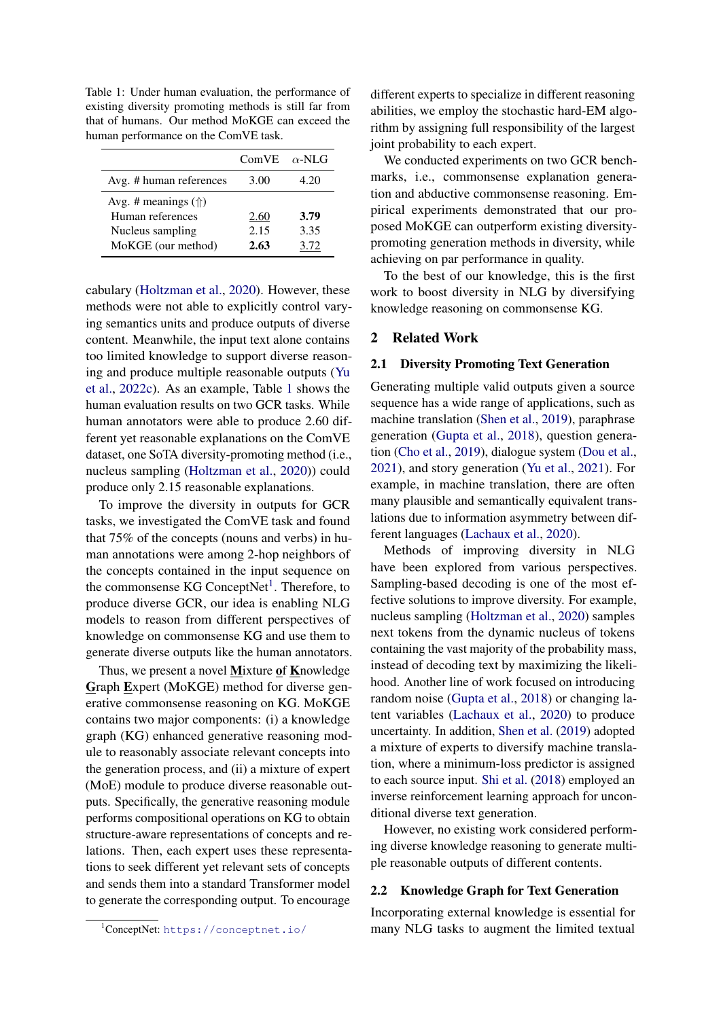<span id="page-1-0"></span>Table 1: Under human evaluation, the performance of existing diversity promoting methods is still far from that of humans. Our method MoKGE can exceed the human performance on the ComVE task.

|                                                                                            | ComVE $\alpha$ -NLG  |                      |
|--------------------------------------------------------------------------------------------|----------------------|----------------------|
| Avg. # human references                                                                    | 3.00                 | 4.20                 |
| Avg. # meanings $(\Uparrow)$<br>Human references<br>Nucleus sampling<br>MoKGE (our method) | 2.60<br>2.15<br>2.63 | 3.79<br>3.35<br>3.72 |

cabulary [\(Holtzman et al.,](#page-9-2) [2020\)](#page-9-2). However, these methods were not able to explicitly control varying semantics units and produce outputs of diverse content. Meanwhile, the input text alone contains too limited knowledge to support diverse reasoning and produce multiple reasonable outputs [\(Yu](#page-10-5) [et al.,](#page-10-5) [2022c\)](#page-10-5). As an example, Table [1](#page-1-0) shows the human evaluation results on two GCR tasks. While human annotators were able to produce 2.60 different yet reasonable explanations on the ComVE dataset, one SoTA diversity-promoting method (i.e., nucleus sampling [\(Holtzman et al.,](#page-9-2) [2020\)](#page-9-2)) could produce only 2.15 reasonable explanations.

To improve the diversity in outputs for GCR tasks, we investigated the ComVE task and found that 75% of the concepts (nouns and verbs) in human annotations were among 2-hop neighbors of the concepts contained in the input sequence on the commonsense KG ConceptNet<sup>[1](#page-0-1)</sup>. Therefore, to produce diverse GCR, our idea is enabling NLG models to reason from different perspectives of knowledge on commonsense KG and use them to generate diverse outputs like the human annotators.

Thus, we present a novel Mixture of Knowledge Graph Expert (MoKGE) method for diverse generative commonsense reasoning on KG. MoKGE contains two major components: (i) a knowledge graph (KG) enhanced generative reasoning module to reasonably associate relevant concepts into the generation process, and (ii) a mixture of expert (MoE) module to produce diverse reasonable outputs. Specifically, the generative reasoning module performs compositional operations on KG to obtain structure-aware representations of concepts and relations. Then, each expert uses these representations to seek different yet relevant sets of concepts and sends them into a standard Transformer model to generate the corresponding output. To encourage

different experts to specialize in different reasoning abilities, we employ the stochastic hard-EM algorithm by assigning full responsibility of the largest joint probability to each expert.

We conducted experiments on two GCR benchmarks, i.e., commonsense explanation generation and abductive commonsense reasoning. Empirical experiments demonstrated that our proposed MoKGE can outperform existing diversitypromoting generation methods in diversity, while achieving on par performance in quality.

To the best of our knowledge, this is the first work to boost diversity in NLG by diversifying knowledge reasoning on commonsense KG.

# 2 Related Work

## 2.1 Diversity Promoting Text Generation

Generating multiple valid outputs given a source sequence has a wide range of applications, such as machine translation [\(Shen et al.,](#page-10-1) [2019\)](#page-10-1), paraphrase generation [\(Gupta et al.,](#page-9-0) [2018\)](#page-9-0), question generation [\(Cho et al.,](#page-9-1) [2019\)](#page-9-1), dialogue system [\(Dou et al.,](#page-9-3) [2021\)](#page-9-3), and story generation [\(Yu et al.,](#page-10-2) [2021\)](#page-10-2). For example, in machine translation, there are often many plausible and semantically equivalent translations due to information asymmetry between different languages [\(Lachaux et al.,](#page-9-4) [2020\)](#page-9-4).

Methods of improving diversity in NLG have been explored from various perspectives. Sampling-based decoding is one of the most effective solutions to improve diversity. For example, nucleus sampling [\(Holtzman et al.,](#page-9-2) [2020\)](#page-9-2) samples next tokens from the dynamic nucleus of tokens containing the vast majority of the probability mass, instead of decoding text by maximizing the likelihood. Another line of work focused on introducing random noise [\(Gupta et al.,](#page-9-0) [2018\)](#page-9-0) or changing latent variables [\(Lachaux et al.,](#page-9-4) [2020\)](#page-9-4) to produce uncertainty. In addition, [Shen et al.](#page-10-1) [\(2019\)](#page-10-1) adopted a mixture of experts to diversify machine translation, where a minimum-loss predictor is assigned to each source input. [Shi et al.](#page-10-6) [\(2018\)](#page-10-6) employed an inverse reinforcement learning approach for unconditional diverse text generation.

However, no existing work considered performing diverse knowledge reasoning to generate multiple reasonable outputs of different contents.

## 2.2 Knowledge Graph for Text Generation

Incorporating external knowledge is essential for many NLG tasks to augment the limited textual

<sup>1</sup>ConceptNet: <https://conceptnet.io/>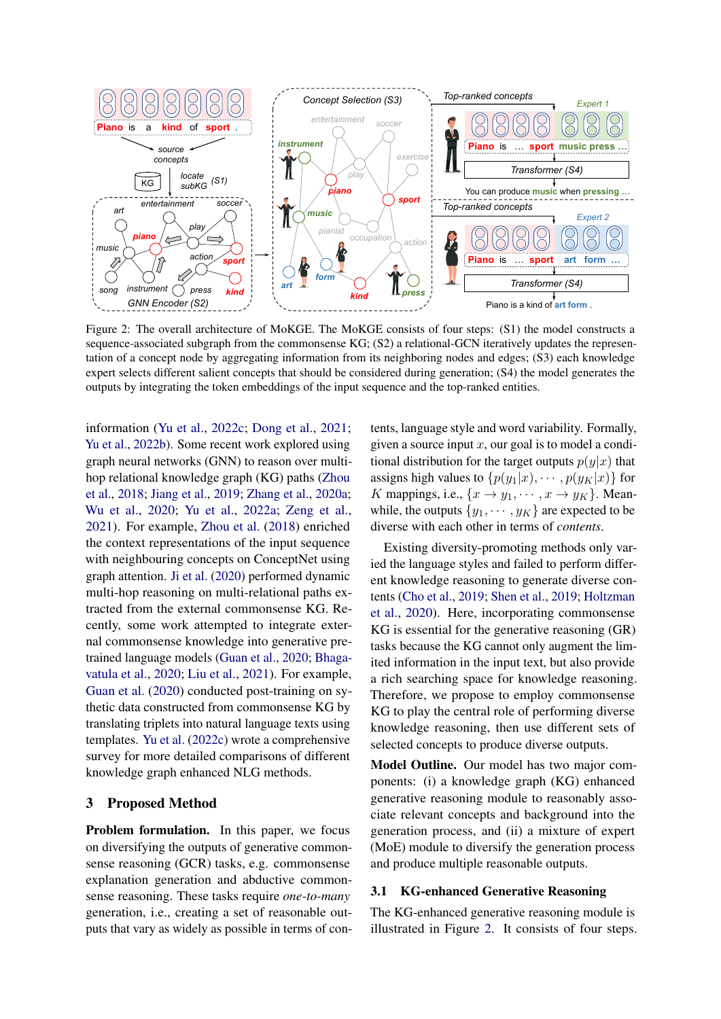<span id="page-2-0"></span>

Figure 2: The overall architecture of MoKGE. The MoKGE consists of four steps: (S1) the model constructs a sequence-associated subgraph from the commonsense KG; (S2) a relational-GCN iteratively updates the representation of a concept node by aggregating information from its neighboring nodes and edges; (S3) each knowledge expert selects different salient concepts that should be considered during generation; (S4) the model generates the outputs by integrating the token embeddings of the input sequence and the top-ranked entities.

information [\(Yu et al.,](#page-10-5) [2022c;](#page-10-5) [Dong et al.,](#page-9-5) [2021;](#page-9-5) [Yu et al.,](#page-10-7) [2022b\)](#page-10-7). Some recent work explored using graph neural networks (GNN) to reason over multihop relational knowledge graph (KG) paths [\(Zhou](#page-10-8) [et al.,](#page-10-8) [2018;](#page-10-8) [Jiang et al.,](#page-9-6) [2019;](#page-9-6) [Zhang et al.,](#page-10-9) [2020a;](#page-10-9) [Wu et al.,](#page-10-10) [2020;](#page-10-10) [Yu et al.,](#page-10-11) [2022a;](#page-10-11) [Zeng et al.,](#page-10-12) [2021\)](#page-10-12). For example, [Zhou et al.](#page-10-8) [\(2018\)](#page-10-8) enriched the context representations of the input sequence with neighbouring concepts on ConceptNet using graph attention. [Ji et al.](#page-9-7) [\(2020\)](#page-9-7) performed dynamic multi-hop reasoning on multi-relational paths extracted from the external commonsense KG. Recently, some work attempted to integrate external commonsense knowledge into generative pretrained language models [\(Guan et al.,](#page-9-8) [2020;](#page-9-8) [Bhaga](#page-9-9)[vatula et al.,](#page-9-9) [2020;](#page-9-9) [Liu et al.,](#page-9-10) [2021\)](#page-9-10). For example, [Guan et al.](#page-9-8) [\(2020\)](#page-9-8) conducted post-training on sythetic data constructed from commonsense KG by translating triplets into natural language texts using templates. [Yu et al.](#page-10-5) [\(2022c\)](#page-10-5) wrote a comprehensive survey for more detailed comparisons of different knowledge graph enhanced NLG methods.

# 3 Proposed Method

Problem formulation. In this paper, we focus on diversifying the outputs of generative commonsense reasoning (GCR) tasks, e.g. commonsense explanation generation and abductive commonsense reasoning. These tasks require *one-to-many* generation, i.e., creating a set of reasonable outputs that vary as widely as possible in terms of contents, language style and word variability. Formally, given a source input  $x$ , our goal is to model a conditional distribution for the target outputs  $p(y|x)$  that assigns high values to  $\{p(y_1|x), \cdots, p(y_K|x)\}\$  for K mappings, i.e.,  $\{x \rightarrow y_1, \cdots, x \rightarrow y_K\}$ . Meanwhile, the outputs  $\{y_1, \dots, y_K\}$  are expected to be diverse with each other in terms of *contents*.

Existing diversity-promoting methods only varied the language styles and failed to perform different knowledge reasoning to generate diverse contents [\(Cho et al.,](#page-9-1) [2019;](#page-9-1) [Shen et al.,](#page-10-1) [2019;](#page-10-1) [Holtzman](#page-9-2) [et al.,](#page-9-2) [2020\)](#page-9-2). Here, incorporating commonsense KG is essential for the generative reasoning (GR) tasks because the KG cannot only augment the limited information in the input text, but also provide a rich searching space for knowledge reasoning. Therefore, we propose to employ commonsense KG to play the central role of performing diverse knowledge reasoning, then use different sets of selected concepts to produce diverse outputs.

Model Outline. Our model has two major components: (i) a knowledge graph (KG) enhanced generative reasoning module to reasonably associate relevant concepts and background into the generation process, and (ii) a mixture of expert (MoE) module to diversify the generation process and produce multiple reasonable outputs.

## 3.1 KG-enhanced Generative Reasoning

The KG-enhanced generative reasoning module is illustrated in Figure [2.](#page-2-0) It consists of four steps.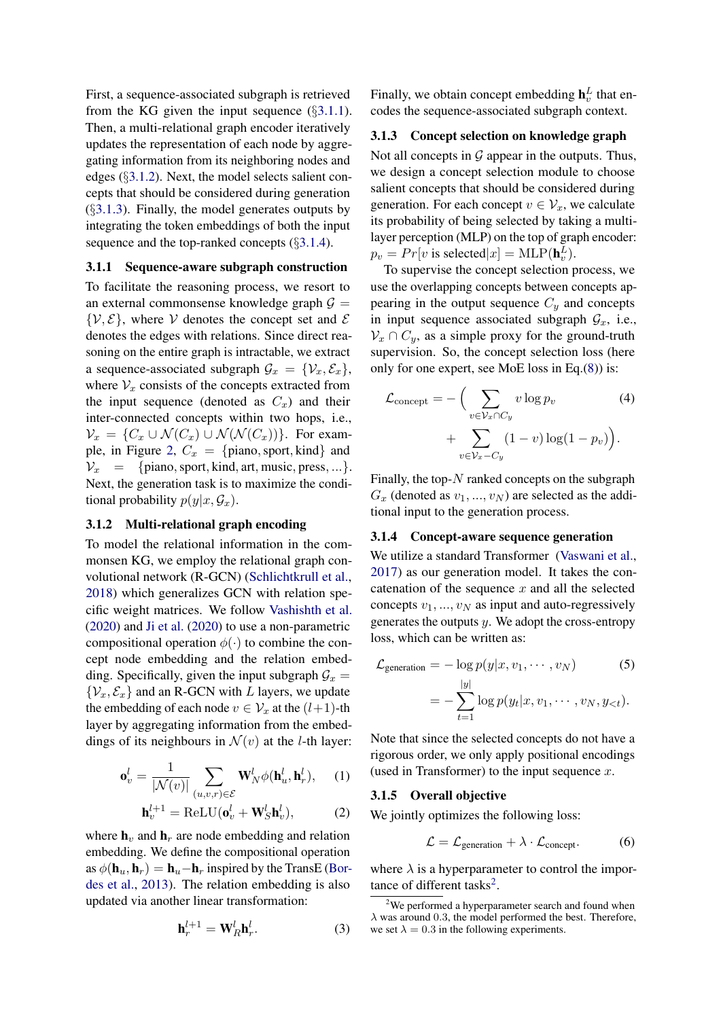First, a sequence-associated subgraph is retrieved from the KG given the input sequence  $(\S 3.1.1)$  $(\S 3.1.1)$ . Then, a multi-relational graph encoder iteratively updates the representation of each node by aggregating information from its neighboring nodes and edges (§[3.1.2\)](#page-3-1). Next, the model selects salient concepts that should be considered during generation  $(\S3.1.3)$  $(\S3.1.3)$ . Finally, the model generates outputs by integrating the token embeddings of both the input sequence and the top-ranked concepts  $(\S3.1.4)$  $(\S3.1.4)$ .

## <span id="page-3-0"></span>3.1.1 Sequence-aware subgraph construction

To facilitate the reasoning process, we resort to an external commonsense knowledge graph  $G =$  $\{V, E\}$ , where V denotes the concept set and E denotes the edges with relations. Since direct reasoning on the entire graph is intractable, we extract a sequence-associated subgraph  $\mathcal{G}_x = \{ \mathcal{V}_x, \mathcal{E}_x \},\$ where  $V_x$  consists of the concepts extracted from the input sequence (denoted as  $C_x$ ) and their inter-connected concepts within two hops, i.e.,  $\mathcal{V}_x = \{C_x \cup \mathcal{N}(C_x) \cup \mathcal{N}(\mathcal{N}(C_x))\}.$  For exam-ple, in Figure [2,](#page-2-0)  $C_x = \{\text{piano}, \text{sport}, \text{kind}\}\$ and  $V_x$  = {piano, sport, kind, art, music, press, ...}. Next, the generation task is to maximize the conditional probability  $p(y|x, \mathcal{G}_x)$ .

# <span id="page-3-1"></span>3.1.2 Multi-relational graph encoding

To model the relational information in the commonsen KG, we employ the relational graph convolutional network (R-GCN) [\(Schlichtkrull et al.,](#page-9-11) [2018\)](#page-9-11) which generalizes GCN with relation specific weight matrices. We follow [Vashishth et al.](#page-10-13) [\(2020\)](#page-10-13) and [Ji et al.](#page-9-7) [\(2020\)](#page-9-7) to use a non-parametric compositional operation  $\phi(\cdot)$  to combine the concept node embedding and the relation embedding. Specifically, given the input subgraph  $\mathcal{G}_x$  =  $\{V_x, \mathcal{E}_x\}$  and an R-GCN with L layers, we update the embedding of each node  $v \in V_x$  at the  $(l+1)$ -th layer by aggregating information from the embeddings of its neighbours in  $\mathcal{N}(v)$  at the *l*-th layer:

$$
\mathbf{o}_v^l = \frac{1}{|\mathcal{N}(v)|} \sum_{(u,v,r) \in \mathcal{E}} \mathbf{W}_N^l \phi(\mathbf{h}_u^l, \mathbf{h}_r^l), \quad (1)
$$

$$
\mathbf{h}^{l+1} = \text{Bof } \mathbf{H}(\mathbf{o}^l + \mathbf{W}^l \mathbf{h}^l) \quad (2)
$$

$$
\mathbf{h}_v^{l+1} = \text{ReLU}(\mathbf{o}_v^l + \mathbf{W}_S^l \mathbf{h}_v^l),\tag{2}
$$

where  $\mathbf{h}_v$  and  $\mathbf{h}_r$  are node embedding and relation embedding. We define the compositional operation as  $\phi(\mathbf{h}_u, \mathbf{h}_r) = \mathbf{h}_u - \mathbf{h}_r$  inspired by the TransE [\(Bor](#page-9-12)[des et al.,](#page-9-12) [2013\)](#page-9-12). The relation embedding is also updated via another linear transformation:

$$
\mathbf{h}_r^{l+1} = \mathbf{W}_R^l \mathbf{h}_r^l.
$$
 (3)

Finally, we obtain concept embedding  $\mathbf{h}_v^L$  that encodes the sequence-associated subgraph context.

# <span id="page-3-2"></span>3.1.3 Concept selection on knowledge graph

Not all concepts in  $G$  appear in the outputs. Thus, we design a concept selection module to choose salient concepts that should be considered during generation. For each concept  $v \in V_x$ , we calculate its probability of being selected by taking a multilayer perception (MLP) on the top of graph encoder:  $p_v = Pr[v \text{ is selected}|x] = \text{MLP}(\mathbf{h}_v^L).$ 

To supervise the concept selection process, we use the overlapping concepts between concepts appearing in the output sequence  $C_y$  and concepts in input sequence associated subgraph  $\mathcal{G}_x$ , i.e.,  $\mathcal{V}_x \cap C_y$ , as a simple proxy for the ground-truth supervision. So, the concept selection loss (here only for one expert, see MoE loss in Eq.[\(8\)](#page-4-0)) is:

$$
\mathcal{L}_{\text{concept}} = -\Big(\sum_{v \in \mathcal{V}_x \cap C_y} v \log p_v \qquad (4)
$$

$$
+ \sum_{v \in \mathcal{V}_x - C_y} (1 - v) \log(1 - p_v)\Big).
$$

Finally, the top- $N$  ranked concepts on the subgraph  $G_x$  (denoted as  $v_1, ..., v_N$ ) are selected as the additional input to the generation process.

# <span id="page-3-3"></span>3.1.4 Concept-aware sequence generation

We utilize a standard Transformer [\(Vaswani et al.,](#page-10-14) [2017\)](#page-10-14) as our generation model. It takes the concatenation of the sequence  $x$  and all the selected concepts  $v_1, ..., v_N$  as input and auto-regressively generates the outputs  $y$ . We adopt the cross-entropy loss, which can be written as:

$$
\mathcal{L}_{\text{generation}} = -\log p(y|x, v_1, \cdots, v_N) \tag{5}
$$
\n
$$
= -\sum_{t=1}^{|y|} \log p(y_t|x, v_1, \cdots, v_N, y_{<}; t).
$$

Note that since the selected concepts do not have a rigorous order, we only apply positional encodings (used in Transformer) to the input sequence  $x$ .

#### 3.1.5 Overall objective

We jointly optimizes the following loss:

<span id="page-3-4"></span>
$$
\mathcal{L} = \mathcal{L}_{\text{generation}} + \lambda \cdot \mathcal{L}_{\text{concept}}.\tag{6}
$$

where  $\lambda$  is a hyperparameter to control the impor-tance of different tasks<sup>[2](#page-0-1)</sup>.

<sup>&</sup>lt;sup>2</sup>We performed a hyperparameter search and found when  $\lambda$  was around 0.3, the model performed the best. Therefore, we set  $\lambda = 0.3$  in the following experiments.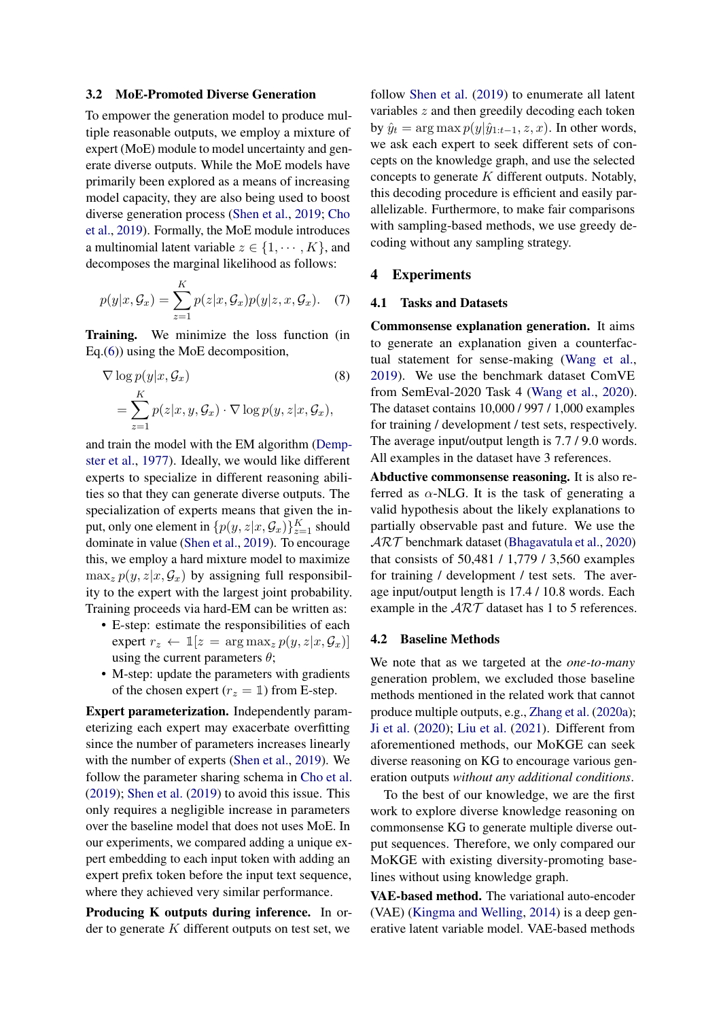#### 3.2 MoE-Promoted Diverse Generation

To empower the generation model to produce multiple reasonable outputs, we employ a mixture of expert (MoE) module to model uncertainty and generate diverse outputs. While the MoE models have primarily been explored as a means of increasing model capacity, they are also being used to boost diverse generation process [\(Shen et al.,](#page-10-1) [2019;](#page-10-1) [Cho](#page-9-1) [et al.,](#page-9-1) [2019\)](#page-9-1). Formally, the MoE module introduces a multinomial latent variable  $z \in \{1, \cdots, K\}$ , and decomposes the marginal likelihood as follows:

$$
p(y|x, \mathcal{G}_x) = \sum_{z=1}^K p(z|x, \mathcal{G}_x)p(y|z, x, \mathcal{G}_x).
$$
 (7)

Training. We minimize the loss function (in Eq.[\(6\)](#page-3-4)) using the MoE decomposition,

$$
\nabla \log p(y|x, \mathcal{G}_x)
$$
\n
$$
= \sum_{z=1}^{K} p(z|x, y, \mathcal{G}_x) \cdot \nabla \log p(y, z|x, \mathcal{G}_x),
$$
\n(8)

and train the model with the EM algorithm [\(Demp](#page-9-13)[ster et al.,](#page-9-13) [1977\)](#page-9-13). Ideally, we would like different experts to specialize in different reasoning abilities so that they can generate diverse outputs. The specialization of experts means that given the input, only one element in  $\{p(y, z | x, \mathcal{G}_x)\}_{z=1}^K$  should dominate in value [\(Shen et al.,](#page-10-1) [2019\)](#page-10-1). To encourage this, we employ a hard mixture model to maximize  $\max_z p(y, z|x, \mathcal{G}_x)$  by assigning full responsibility to the expert with the largest joint probability. Training proceeds via hard-EM can be written as:

- E-step: estimate the responsibilities of each expert  $r_z \leftarrow \mathbb{1}[z = \arg \max_z p(y, z | x, \mathcal{G}_x)]$ using the current parameters  $\theta$ ;
- M-step: update the parameters with gradients of the chosen expert ( $r_z = 1$ ) from E-step.

Expert parameterization. Independently parameterizing each expert may exacerbate overfitting since the number of parameters increases linearly with the number of experts [\(Shen et al.,](#page-10-1) [2019\)](#page-10-1). We follow the parameter sharing schema in [Cho et al.](#page-9-1) [\(2019\)](#page-9-1); [Shen et al.](#page-10-1) [\(2019\)](#page-10-1) to avoid this issue. This only requires a negligible increase in parameters over the baseline model that does not uses MoE. In our experiments, we compared adding a unique expert embedding to each input token with adding an expert prefix token before the input text sequence, where they achieved very similar performance.

Producing K outputs during inference. In order to generate  $K$  different outputs on test set, we

follow [Shen et al.](#page-10-1) [\(2019\)](#page-10-1) to enumerate all latent variables z and then greedily decoding each token by  $\hat{y}_t = \arg \max p(y|\hat{y}_{1:t-1}, z, x)$ . In other words, we ask each expert to seek different sets of concepts on the knowledge graph, and use the selected concepts to generate  $K$  different outputs. Notably, this decoding procedure is efficient and easily parallelizable. Furthermore, to make fair comparisons with sampling-based methods, we use greedy decoding without any sampling strategy.

## 4 Experiments

# 4.1 Tasks and Datasets

<span id="page-4-0"></span>Commonsense explanation generation. It aims to generate an explanation given a counterfactual statement for sense-making [\(Wang et al.,](#page-10-15) [2019\)](#page-10-15). We use the benchmark dataset ComVE from SemEval-2020 Task 4 [\(Wang et al.,](#page-10-4) [2020\)](#page-10-4). The dataset contains 10,000 / 997 / 1,000 examples for training / development / test sets, respectively. The average input/output length is 7.7 / 9.0 words. All examples in the dataset have 3 references.

Abductive commonsense reasoning. It is also referred as  $\alpha$ -NLG. It is the task of generating a valid hypothesis about the likely explanations to partially observable past and future. We use the  $\mathcal{ART}$  benchmark dataset [\(Bhagavatula et al.,](#page-9-9) [2020\)](#page-9-9) that consists of 50,481 / 1,779 / 3,560 examples for training / development / test sets. The average input/output length is 17.4 / 10.8 words. Each example in the  $ART$  dataset has 1 to 5 references.

## 4.2 Baseline Methods

We note that as we targeted at the *one-to-many* generation problem, we excluded those baseline methods mentioned in the related work that cannot produce multiple outputs, e.g., [Zhang et al.](#page-10-9) [\(2020a\)](#page-10-9); [Ji et al.](#page-9-7) [\(2020\)](#page-9-7); [Liu et al.](#page-9-10) [\(2021\)](#page-9-10). Different from aforementioned methods, our MoKGE can seek diverse reasoning on KG to encourage various generation outputs *without any additional conditions*.

To the best of our knowledge, we are the first work to explore diverse knowledge reasoning on commonsense KG to generate multiple diverse output sequences. Therefore, we only compared our MoKGE with existing diversity-promoting baselines without using knowledge graph.

VAE-based method. The variational auto-encoder (VAE) [\(Kingma and Welling,](#page-9-14) [2014\)](#page-9-14) is a deep generative latent variable model. VAE-based methods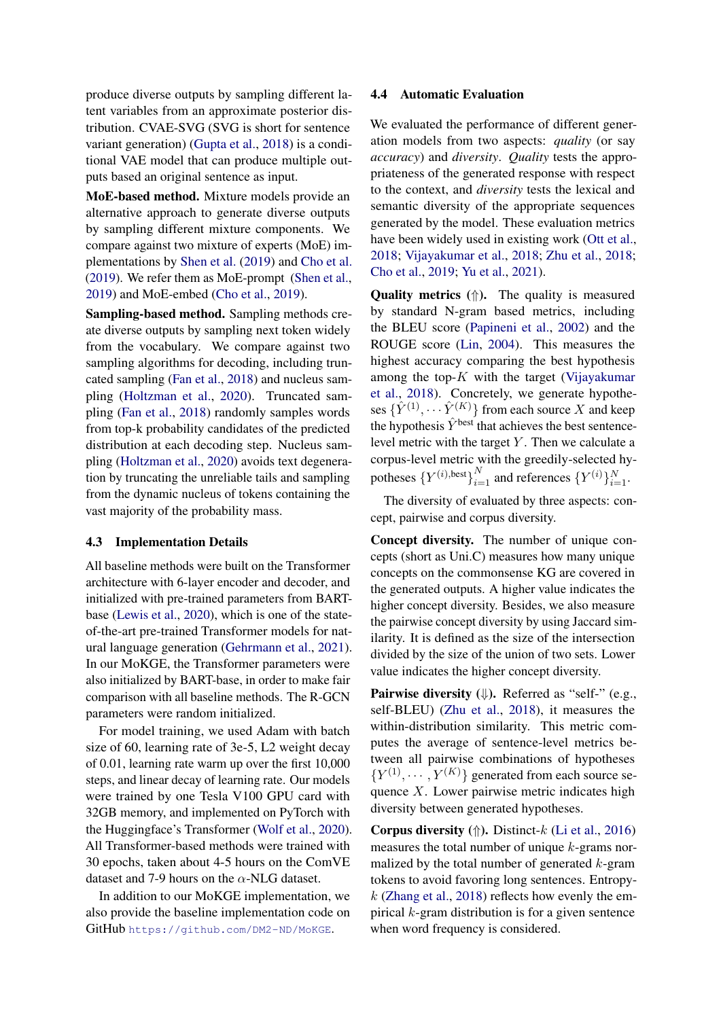produce diverse outputs by sampling different latent variables from an approximate posterior distribution. CVAE-SVG (SVG is short for sentence variant generation) [\(Gupta et al.,](#page-9-0) [2018\)](#page-9-0) is a conditional VAE model that can produce multiple outputs based an original sentence as input.

MoE-based method. Mixture models provide an alternative approach to generate diverse outputs by sampling different mixture components. We compare against two mixture of experts (MoE) implementations by [Shen et al.](#page-10-1) [\(2019\)](#page-10-1) and [Cho et al.](#page-9-1) [\(2019\)](#page-9-1). We refer them as MoE-prompt [\(Shen et al.,](#page-10-1) [2019\)](#page-10-1) and MoE-embed [\(Cho et al.,](#page-9-1) [2019\)](#page-9-1).

Sampling-based method. Sampling methods create diverse outputs by sampling next token widely from the vocabulary. We compare against two sampling algorithms for decoding, including truncated sampling [\(Fan et al.,](#page-9-15) [2018\)](#page-9-15) and nucleus sampling [\(Holtzman et al.,](#page-9-2) [2020\)](#page-9-2). Truncated sampling [\(Fan et al.,](#page-9-15) [2018\)](#page-9-15) randomly samples words from top-k probability candidates of the predicted distribution at each decoding step. Nucleus sampling [\(Holtzman et al.,](#page-9-2) [2020\)](#page-9-2) avoids text degeneration by truncating the unreliable tails and sampling from the dynamic nucleus of tokens containing the vast majority of the probability mass.

## 4.3 Implementation Details

All baseline methods were built on the Transformer architecture with 6-layer encoder and decoder, and initialized with pre-trained parameters from BARTbase [\(Lewis et al.,](#page-9-16) [2020\)](#page-9-16), which is one of the stateof-the-art pre-trained Transformer models for natural language generation [\(Gehrmann et al.,](#page-9-17) [2021\)](#page-9-17). In our MoKGE, the Transformer parameters were also initialized by BART-base, in order to make fair comparison with all baseline methods. The R-GCN parameters were random initialized.

For model training, we used Adam with batch size of 60, learning rate of 3e-5, L2 weight decay of 0.01, learning rate warm up over the first 10,000 steps, and linear decay of learning rate. Our models were trained by one Tesla V100 GPU card with 32GB memory, and implemented on PyTorch with the Huggingface's Transformer [\(Wolf et al.,](#page-10-16) [2020\)](#page-10-16). All Transformer-based methods were trained with 30 epochs, taken about 4-5 hours on the ComVE dataset and 7-9 hours on the  $\alpha$ -NLG dataset.

In addition to our MoKGE implementation, we also provide the baseline implementation code on GitHub <https://github.com/DM2-ND/MoKGE>.

## 4.4 Automatic Evaluation

We evaluated the performance of different generation models from two aspects: *quality* (or say *accuracy*) and *diversity*. *Quality* tests the appropriateness of the generated response with respect to the context, and *diversity* tests the lexical and semantic diversity of the appropriate sequences generated by the model. These evaluation metrics have been widely used in existing work [\(Ott et al.,](#page-9-18) [2018;](#page-9-18) [Vijayakumar et al.,](#page-10-17) [2018;](#page-10-17) [Zhu et al.,](#page-10-18) [2018;](#page-10-18) [Cho et al.,](#page-9-1) [2019;](#page-9-1) [Yu et al.,](#page-10-2) [2021\)](#page-10-2).

**Quality metrics**  $(\uparrow)$ . The quality is measured by standard N-gram based metrics, including the BLEU score [\(Papineni et al.,](#page-9-19) [2002\)](#page-9-19) and the ROUGE score [\(Lin,](#page-9-20) [2004\)](#page-9-20). This measures the highest accuracy comparing the best hypothesis among the top- $K$  with the target [\(Vijayakumar](#page-10-17) [et al.,](#page-10-17) [2018\)](#page-10-17). Concretely, we generate hypotheses  $\{\hat{Y}^{(1)}, \cdots \hat{Y}^{(K)}\}$  from each source X and keep the hypothesis  $\hat{Y}^{\text{best}}$  that achieves the best sentencelevel metric with the target  $Y$ . Then we calculate a corpus-level metric with the greedily-selected hypotheses  $\{Y^{(i), \text{best}}\}_{i=1}^N$  and references  $\{Y^{(i)}\}_{i=1}^N$ .

The diversity of evaluated by three aspects: concept, pairwise and corpus diversity.

Concept diversity. The number of unique concepts (short as Uni.C) measures how many unique concepts on the commonsense KG are covered in the generated outputs. A higher value indicates the higher concept diversity. Besides, we also measure the pairwise concept diversity by using Jaccard similarity. It is defined as the size of the intersection divided by the size of the union of two sets. Lower value indicates the higher concept diversity.

Pairwise diversity  $(\Downarrow)$ . Referred as "self-" (e.g., self-BLEU) [\(Zhu et al.,](#page-10-18) [2018\)](#page-10-18), it measures the within-distribution similarity. This metric computes the average of sentence-level metrics between all pairwise combinations of hypotheses  ${Y^{(1)}, \cdots, Y^{(K)}}$  generated from each source sequence  $X$ . Lower pairwise metric indicates high diversity between generated hypotheses.

**Corpus diversity** ( $\Uparrow$ ). Distinct-k [\(Li et al.,](#page-9-21) [2016\)](#page-9-21) measures the total number of unique k-grams normalized by the total number of generated  $k$ -gram tokens to avoid favoring long sentences. Entropy $k$  [\(Zhang et al.,](#page-10-19) [2018\)](#page-10-19) reflects how evenly the empirical  $k$ -gram distribution is for a given sentence when word frequency is considered.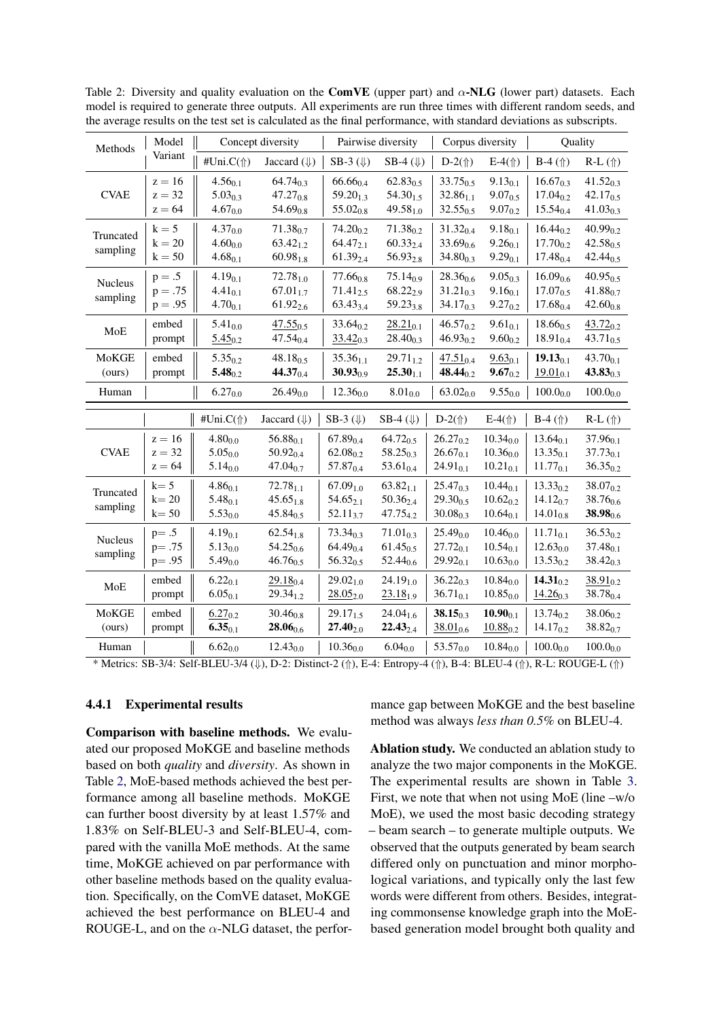| Methods                    | Model                              | Concept diversity                            |                                                 | Pairwise diversity                              |                                                        |                                                 | Corpus diversity                                | Quality                                         |                                                 |
|----------------------------|------------------------------------|----------------------------------------------|-------------------------------------------------|-------------------------------------------------|--------------------------------------------------------|-------------------------------------------------|-------------------------------------------------|-------------------------------------------------|-------------------------------------------------|
|                            | Variant                            | #Uni.C(1)                                    | Jaccard $(\Downarrow)$                          | $SB-3$ ( $\Downarrow$ )                         | SB-4 $(\Downarrow)$                                    | $D-2(\Uparrow)$                                 | $E-4(f)$                                        | $B-4$ ( $\Uparrow$ )                            | $R-L$ ( $\Uparrow$ )                            |
| <b>CVAE</b>                | $z = 16$<br>$z = 32$<br>$z = 64$   | $4.56_{0.1}$<br>$5.03_{0.3}$<br>$4.67_{0.0}$ | $64.74_{0.3}$<br>$47.27_{0.8}$<br>$54.69_{0.8}$ | $66.66_{0.4}$<br>$59.20_{1.3}$<br>$55.02_{0.8}$ | $62.83_{0.5}$<br>$54.30_{1.5}$<br>$49.58_{1.0}$        | $33.75_{0.5}$<br>$32.86_{1.1}$<br>$32.55_{0.5}$ | $9.13_{0.1}$<br>$9.07_{0.5}$<br>$9.07_{0.2}$    | $16.67_{0.3}$<br>$17.04_{0.2}$<br>$15.54_{0.4}$ | $41.52_{0.3}$<br>$42.17_{0.5}$<br>$41.03_{0.3}$ |
| Truncated<br>sampling      | $k = 5$<br>$k = 20$<br>$k = 50$    | $4.37_{0.0}$<br>$4.60_{0.0}$<br>$4.68_{0.1}$ | $71.38_{0.7}$<br>$63.42_{1.2}$<br>$60.98_{1.8}$ | $74.20_{0.2}$<br>$64.47_{2.1}$<br>$61.39_{2.4}$ | $71.38_{0.2}$<br>$60.33_{2.4}$<br>$56.93_{2.8}$        | $31.32_{0.4}$<br>$33.69_{0.6}$<br>$34.80_{0.3}$ | $9.18_{0.1}$<br>$9.26_{0.1}$<br>$9.29_{0.1}$    | $16.44_{0.2}$<br>$17.70_{0.2}$<br>$17.48_{0.4}$ | $40.99_{0.2}$<br>$42.58_{0.5}$<br>$42.44_{0.5}$ |
| <b>Nucleus</b><br>sampling | $p=.5$<br>$p=.75$<br>$p = .95$     | $4.19_{0.1}$<br>$4.41_{0.1}$<br>$4.70_{0.1}$ | $72.78_{1.0}$<br>$67.01_{1.7}$<br>$61.92_{2.6}$ | $77.66_{0.8}$<br>$71.41_{2.5}$<br>$63.43_{3.4}$ | $75.14_{0.9}$<br>68.222.9<br>$59.23_{3.8}$             | $28.36_{0.6}$<br>$31.21_{0.3}$<br>$34.17_{0.3}$ | $9.05_{0.3}$<br>$9.16_{0.1}$<br>$9.27_{0.2}$    | $16.09_{0.6}$<br>17.070.5<br>$17.68_{0.4}$      | $40.95_{0.5}$<br>41.880.7<br>$42.60_{0.8}$      |
| MoE                        | embed<br>prompt                    | $5.41_{0.0}$<br>$5.45_{0.2}$                 | $47.55_{0.5}$<br>$47.54_{0.4}$                  | $33.64_{0.2}$<br>$33.42_{0.3}$                  | $28.21_{0.1}$<br>$28.40_{0.3}$                         | $46.57_{0.2}$<br>$46.93_{0.2}$                  | $9.61_{0.1}$<br>$9.60_{0.2}$                    | $18.66_{0.5}$<br>$18.91_{0.4}$                  | $43.72_{0.2}$<br>$43.71_{0.5}$                  |
| MoKGE<br>(ours)            | embed<br>prompt                    | $5.35_{0.2}$<br>$5.48_{0.2}$                 | $48.18_{0.5}$<br>$44.37_{0.4}$                  | $35.36_{1.1}$<br>$30.93_{0.9}$                  | $29.71_{1.2}$<br>$25.30_{1.1}$                         | $47.51_{0.4}$<br>$48.44_{0.2}$                  | $9.63_{0.1}$<br>$9.67_{0.2}$                    | $19.13_{0.1}$<br>$19.01_{0.1}$                  | $43.70_{0.1}$<br>$43.83_{0.3}$                  |
| Human                      |                                    | $6.27_{0.0}$                                 | $26.49_{0.0}$                                   | $12.36_{0.0}$                                   | $8.01_{0.0}$                                           | $63.02_{0.0}$                                   | $9.55_{0.0}$                                    | $100.0_{0.0}$                                   | $100.0_{0.0}$                                   |
|                            |                                    | #Uni. $C(\uparrow)$                          | Jaccard $(\Downarrow)$                          | SB-3 $(\Downarrow)$                             | SB-4 $(\Downarrow)$                                    | $D-2(\uparrow)$                                 | $E-4(\uparrow)$                                 | $B-4$ ( $\Uparrow$ )                            | $R-L$ ( $\Uparrow$ )                            |
| <b>CVAE</b>                | $z = 16$<br>$z = 32$<br>$z = 64$   | $4.80_{0.0}$<br>$5.05_{0.0}$<br>$5.14_{0.0}$ | $56.88_{0.1}$<br>$50.92_{0.4}$<br>$47.04_{0.7}$ | $67.89_{0.4}$<br>$62.08_{0.2}$<br>$57.87_{0.4}$ | $64.72_{0.5}$<br>$58.25_{0.3}$<br>$53.61_{0.4}$        | $26.27_{0.2}$<br>$26.67_{0.1}$<br>$24.91_{0.1}$ | $10.34_{0.0}$<br>$10.36_{0.0}$<br>$10.21_{0.1}$ | $13.64_{0.1}$<br>$13.35_{0.1}$<br>$11.77_{0.1}$ | $37.96_{0.1}$<br>$37.73_{0.1}$<br>$36.35_{0.2}$ |
| Truncated<br>sampling      | $k = 5$<br>$k = 20$<br>$k = 50$    | $4.86_{0.1}$<br>$5.48_{0.1}$<br>$5.53_{0.0}$ | $72.78_{11}$<br>$45.65_{1.8}$<br>45.84 $0.5$    | $67.09_{1.0}$<br>$54.65_{2.1}$<br>$52.11_{3.7}$ | $63.82_{1.1}$<br>$50.36_{2.4}$<br>47.75 <sub>4.2</sub> | $25.47_{0.3}$<br>$29.30_{0.5}$<br>$30.08_{0.3}$ | $10.44_{0.1}$<br>$10.62_{0.2}$<br>$10.64_{0.1}$ | $13.33_{0.2}$<br>$14.12_{0.7}$<br>$14.01_{0.8}$ | $38.07_{0.2}$<br>$38.76_{0.6}$<br>38.980.6      |
| Nucleus<br>sampling        | $p = .5$<br>$p = .75$<br>$p = .95$ | $4.19_{0.1}$<br>$5.13_{0.0}$<br>$5.49_{0.0}$ | $62.54_{1.8}$<br>$54.25_{0.6}$<br>$46.76_{0.5}$ | $73.34_{0.3}$<br>$64.49_{0.4}$<br>$56.32_{0.5}$ | $71.01_{0.3}$<br>$61.45_{0.5}$<br>52.44 <sub>0.6</sub> | $25.49_{0.0}$<br>$27.72_{0.1}$<br>$29.92_{0.1}$ | $10.46_{0.0}$<br>$10.54_{0.1}$<br>$10.63_{0.0}$ | $11.71_{0.1}$<br>$12.63_{0.0}$<br>$13.53_{0.2}$ | $36.53_{0.2}$<br>$37.48_{0.1}$<br>$38.42_{0.3}$ |
| MoE                        | embed<br>prompt                    | $6.22_{0.1}$<br>$6.05_{0.1}$                 | $29.18_{0.4}$<br>$29.34_{1.2}$                  | $29.02_{1.0}$<br>$28.05_{2.0}$                  | $24.19_{1.0}$<br>$23.18_{1.9}$                         | $36.22_{0.3}$<br>$36.71_{0.1}$                  | $10.84_{0.0}$<br>$10.85_{0.0}$                  | $14.31_{0.2}$<br>$14.26_{0.3}$                  | 38.910.2<br>$38.78_{0.4}$                       |
| MoKGE<br>(ours)            | embed<br>prompt                    | $6.27_{0.2}$<br>$6.35_{0.1}$                 | $30.46_{0.8}$<br>$28.06_{0.6}$                  | $29.17_{1.5}$<br>$27.40_{2.0}$                  | $24.04_{1.6}$<br>$22.43_{2.4}$                         | $38.15_{0.3}$<br>38.01 <sub>0.6</sub>           | $10.90_{0.1}$<br>$10.88_{0.2}$                  | $13.74_{0.2}$<br>$14.17_{0.2}$                  | $38.06_{0.2}$<br>$38.82_{0.7}$                  |
| Human                      |                                    | $6.62_{0.0}$                                 | $12.43_{0.0}$                                   | $10.36_{0.0}$                                   | $6.04_{0.0}$                                           | 53.57 <sub>0.0</sub>                            | $10.84_{0.0}$                                   | $100.0_{0.0}$                                   | $100.0_{0.0}$                                   |

<span id="page-6-0"></span>Table 2: Diversity and quality evaluation on the ComVE (upper part) and  $\alpha$ -NLG (lower part) datasets. Each model is required to generate three outputs. All experiments are run three times with different random seeds, and the average results on the test set is calculated as the final performance, with standard deviations as subscripts.

\* Metrics: SB-3/4: Self-BLEU-3/4 (⇓), D-2: Distinct-2 (⇑), E-4: Entropy-4 (⇑), B-4: BLEU-4 (⇑), R-L: ROUGE-L (⇑)

## 4.4.1 Experimental results

Comparison with baseline methods. We evaluated our proposed MoKGE and baseline methods based on both *quality* and *diversity*. As shown in Table [2,](#page-6-0) MoE-based methods achieved the best performance among all baseline methods. MoKGE can further boost diversity by at least 1.57% and 1.83% on Self-BLEU-3 and Self-BLEU-4, compared with the vanilla MoE methods. At the same time, MoKGE achieved on par performance with other baseline methods based on the quality evaluation. Specifically, on the ComVE dataset, MoKGE achieved the best performance on BLEU-4 and ROUGE-L, and on the  $\alpha$ -NLG dataset, the performance gap between MoKGE and the best baseline method was always *less than 0.5%* on BLEU-4.

Ablation study. We conducted an ablation study to analyze the two major components in the MoKGE. The experimental results are shown in Table [3.](#page-7-0) First, we note that when not using MoE (line –w/o MoE), we used the most basic decoding strategy – beam search – to generate multiple outputs. We observed that the outputs generated by beam search differed only on punctuation and minor morphological variations, and typically only the last few words were different from others. Besides, integrating commonsense knowledge graph into the MoEbased generation model brought both quality and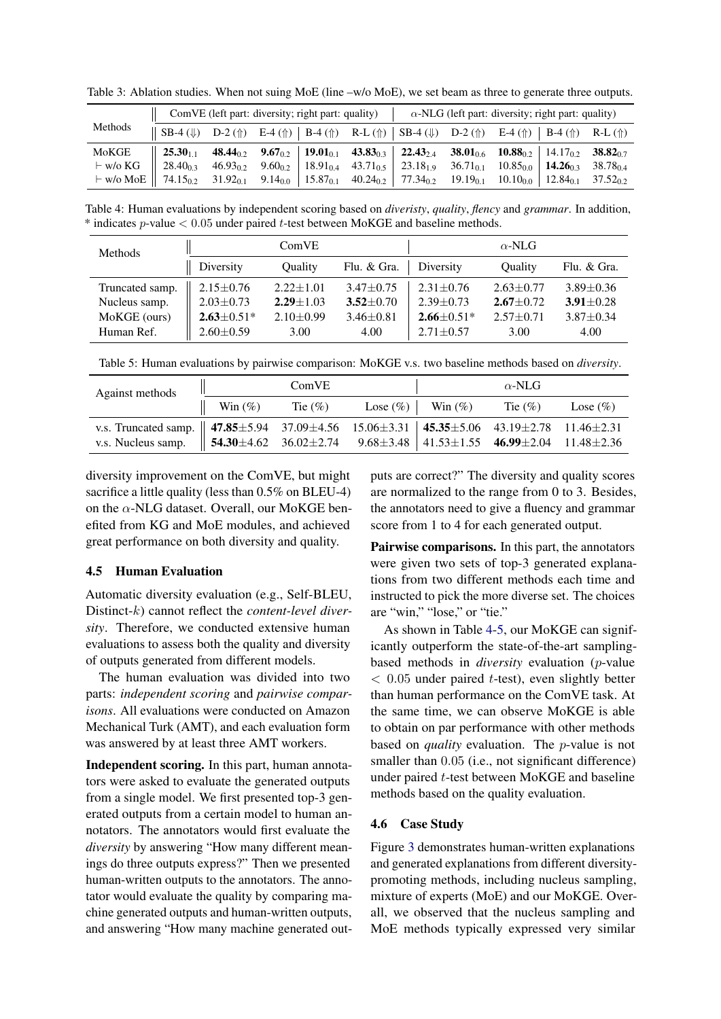|         | $\ $ ComVE (left part: diversity; right part: quality)                                                                                                                                                                               |  |  |  |  | $\alpha$ -NLG (left part: diversity; right part: quality)                                                                                                                                                 |  |  |  |  |
|---------|--------------------------------------------------------------------------------------------------------------------------------------------------------------------------------------------------------------------------------------|--|--|--|--|-----------------------------------------------------------------------------------------------------------------------------------------------------------------------------------------------------------|--|--|--|--|
| Methods | $\parallel$ SB-4 (\ \) D-2 (\ \) E-4 (\ \)   B-4 (\ \) R-L (\ \)   SB-4 (\ \) D-2 (\ \) E-4 (\ \)   B-4 (\ \) R-L (\ \)                                                                                                              |  |  |  |  |                                                                                                                                                                                                           |  |  |  |  |
| MoKGE   |                                                                                                                                                                                                                                      |  |  |  |  | $25.30_{1,1}$ 48.44 <sub>0.2</sub> 9.67 <sub>0.2</sub> 19.01 <sub>0.1</sub> 43.83 <sub>0.3</sub> 22.43 <sub>2.4</sub> 38.01 <sub>0.6</sub> 10.88 <sub>0.2</sub> 14.17 <sub>0.2</sub> 38.82 <sub>0.7</sub> |  |  |  |  |
|         | $\vdash$ w/o KG $\parallel$ 28.40 <sub>0.3</sub>                                                                                                                                                                                     |  |  |  |  | $46.93_{0.2}$ $9.60_{0.2}$ $18.91_{0.4}$ $43.71_{0.5}$ $23.18_{1.9}$ $36.71_{0.1}$ $10.85_{0.0}$ $14.26_{0.3}$ $38.78_{0.4}$                                                                              |  |  |  |  |
|         | $+$ w/o MoE   74.15 <sub>0.2</sub> 31.92 <sub>0.1</sub> 9.14 <sub>0.0</sub>   15.87 <sub>0.1</sub> 40.24 <sub>0.2</sub>   77.34 <sub>0.2</sub> 19.19 <sub>0.1</sub> 10.10 <sub>0.0</sub>   12.84 <sub>0.1</sub> 37.52 <sub>0.2</sub> |  |  |  |  |                                                                                                                                                                                                           |  |  |  |  |

<span id="page-7-0"></span>Table 3: Ablation studies. When not suing MoE (line  $-w$ /o MoE), we set beam as three to generate three outputs.

<span id="page-7-1"></span>Table 4: Human evaluations by independent scoring based on *diveristy*, *quality*, *flency* and *grammar*. In addition,  $*$  indicates p-value  $< 0.05$  under paired t-test between MoKGE and baseline methods.

| Methods         |                   | ComVE         |                 | $\alpha$ -NLG  |               |                 |  |
|-----------------|-------------------|---------------|-----------------|----------------|---------------|-----------------|--|
|                 | Diversity         | Ouality       | Flu. & Gra.     | Diversity      | Ouality       | Flu. & Gra.     |  |
| Truncated samp. | $2.15 \pm 0.76$   | $2.22 + 1.01$ | $3.47 + 0.75$   | $2.31 + 0.76$  | $2.63 + 0.77$ | $3.89 + 0.36$   |  |
| Nucleus samp.   | $2.03 \pm 0.73$   | $2.29 + 1.03$ | $3.52 \pm 0.70$ | $2.39 + 0.73$  | $2.67 + 0.72$ | $3.91 \pm 0.28$ |  |
| MoKGE (ours)    | $2.63 \pm 0.51^*$ | $2.10 + 0.99$ | $3.46 \pm 0.81$ | $2.66 + 0.51*$ | $2.57 + 0.71$ | $3.87 + 0.34$   |  |
| Human Ref.      | $2.60 \pm 0.59$   | 3.00          | 4.00            | $2.71 + 0.57$  | 3.00          | 4.00            |  |

Table 5: Human evaluations by pairwise comparison: MoKGE v.s. two baseline methods based on *diversity*.

| Against methods                                                                                                                                                            |                                                                 | ComVE |  | $\alpha$ -NLG |  |
|----------------------------------------------------------------------------------------------------------------------------------------------------------------------------|-----------------------------------------------------------------|-------|--|---------------|--|
|                                                                                                                                                                            | $\parallel$ Win (%) Tie (%) Lose (%)   Win (%) Tie (%) Lose (%) |       |  |               |  |
| v.s. Truncated samp. 47.85±5.94 37.09±4.56 15.06±3.31 45.35±5.06 43.19±2.78 11.46±2.31 v.s. Nucleus samp. 54.30±4.62 36.02±2.74 9.68±3.48 41.53±1.55 46.99±2.04 11.48±2.36 |                                                                 |       |  |               |  |
|                                                                                                                                                                            |                                                                 |       |  |               |  |

diversity improvement on the ComVE, but might sacrifice a little quality (less than  $0.5\%$  on BLEU-4) on the  $\alpha$ -NLG dataset. Overall, our MoKGE benefited from KG and MoE modules, and achieved great performance on both diversity and quality.

# 4.5 Human Evaluation

Automatic diversity evaluation (e.g., Self-BLEU, Distinct-k) cannot reflect the *content-level diversity*. Therefore, we conducted extensive human evaluations to assess both the quality and diversity of outputs generated from different models.

The human evaluation was divided into two parts: *independent scoring* and *pairwise comparisons*. All evaluations were conducted on Amazon Mechanical Turk (AMT), and each evaluation form was answered by at least three AMT workers.

Independent scoring. In this part, human annotators were asked to evaluate the generated outputs from a single model. We first presented top-3 generated outputs from a certain model to human annotators. The annotators would first evaluate the *diversity* by answering "How many different meanings do three outputs express?" Then we presented human-written outputs to the annotators. The annotator would evaluate the quality by comparing machine generated outputs and human-written outputs, and answering "How many machine generated outputs are correct?" The diversity and quality scores are normalized to the range from 0 to 3. Besides, the annotators need to give a fluency and grammar score from 1 to 4 for each generated output.

Pairwise comparisons. In this part, the annotators were given two sets of top-3 generated explanations from two different methods each time and instructed to pick the more diverse set. The choices are "win," "lose," or "tie."

As shown in Table [4-5,](#page-7-1) our MoKGE can significantly outperform the state-of-the-art samplingbased methods in *diversity* evaluation (p-value  $< 0.05$  under paired t-test), even slightly better than human performance on the ComVE task. At the same time, we can observe MoKGE is able to obtain on par performance with other methods based on *quality* evaluation. The p-value is not smaller than  $0.05$  (i.e., not significant difference) under paired t-test between MoKGE and baseline methods based on the quality evaluation.

## 4.6 Case Study

Figure [3](#page-8-0) demonstrates human-written explanations and generated explanations from different diversitypromoting methods, including nucleus sampling, mixture of experts (MoE) and our MoKGE. Overall, we observed that the nucleus sampling and MoE methods typically expressed very similar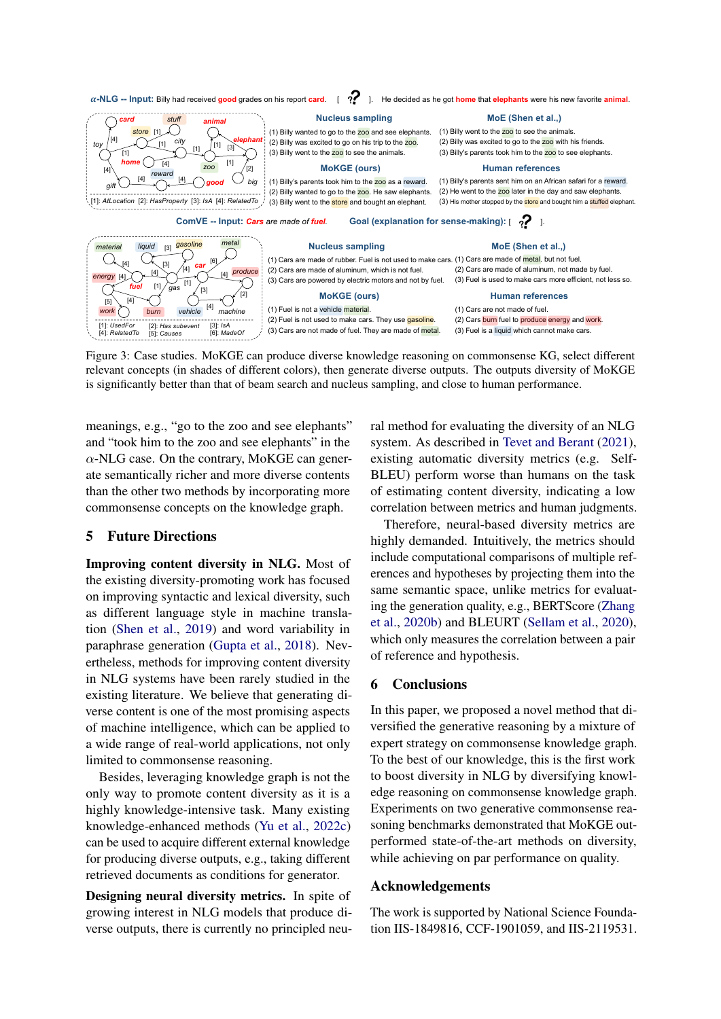<span id="page-8-0"></span>

Figure 3: Case studies. MoKGE can produce diverse knowledge reasoning on commonsense KG, select different relevant concepts (in shades of different colors), then generate diverse outputs. The outputs diversity of MoKGE is significantly better than that of beam search and nucleus sampling, and close to human performance.

meanings, e.g., "go to the zoo and see elephants" and "took him to the zoo and see elephants" in the  $\alpha$ -NLG case. On the contrary, MoKGE can generate semantically richer and more diverse contents than the other two methods by incorporating more commonsense concepts on the knowledge graph.

# 5 Future Directions

Improving content diversity in NLG. Most of the existing diversity-promoting work has focused on improving syntactic and lexical diversity, such as different language style in machine translation [\(Shen et al.,](#page-10-1) [2019\)](#page-10-1) and word variability in paraphrase generation [\(Gupta et al.,](#page-9-0) [2018\)](#page-9-0). Nevertheless, methods for improving content diversity in NLG systems have been rarely studied in the existing literature. We believe that generating diverse content is one of the most promising aspects of machine intelligence, which can be applied to a wide range of real-world applications, not only limited to commonsense reasoning.

Besides, leveraging knowledge graph is not the only way to promote content diversity as it is a highly knowledge-intensive task. Many existing knowledge-enhanced methods [\(Yu et al.,](#page-10-5) [2022c\)](#page-10-5) can be used to acquire different external knowledge for producing diverse outputs, e.g., taking different retrieved documents as conditions for generator.

Designing neural diversity metrics. In spite of growing interest in NLG models that produce diverse outputs, there is currently no principled neural method for evaluating the diversity of an NLG system. As described in [Tevet and Berant](#page-10-0) [\(2021\)](#page-10-0), existing automatic diversity metrics (e.g. Self-BLEU) perform worse than humans on the task of estimating content diversity, indicating a low correlation between metrics and human judgments.

Therefore, neural-based diversity metrics are highly demanded. Intuitively, the metrics should include computational comparisons of multiple references and hypotheses by projecting them into the same semantic space, unlike metrics for evaluating the generation quality, e.g., BERTScore [\(Zhang](#page-10-20) [et al.,](#page-10-20) [2020b\)](#page-10-20) and BLEURT [\(Sellam et al.,](#page-10-21) [2020\)](#page-10-21), which only measures the correlation between a pair of reference and hypothesis.

# 6 Conclusions

In this paper, we proposed a novel method that diversified the generative reasoning by a mixture of expert strategy on commonsense knowledge graph. To the best of our knowledge, this is the first work to boost diversity in NLG by diversifying knowledge reasoning on commonsense knowledge graph. Experiments on two generative commonsense reasoning benchmarks demonstrated that MoKGE outperformed state-of-the-art methods on diversity, while achieving on par performance on quality.

# Acknowledgements

The work is supported by National Science Foundation IIS-1849816, CCF-1901059, and IIS-2119531.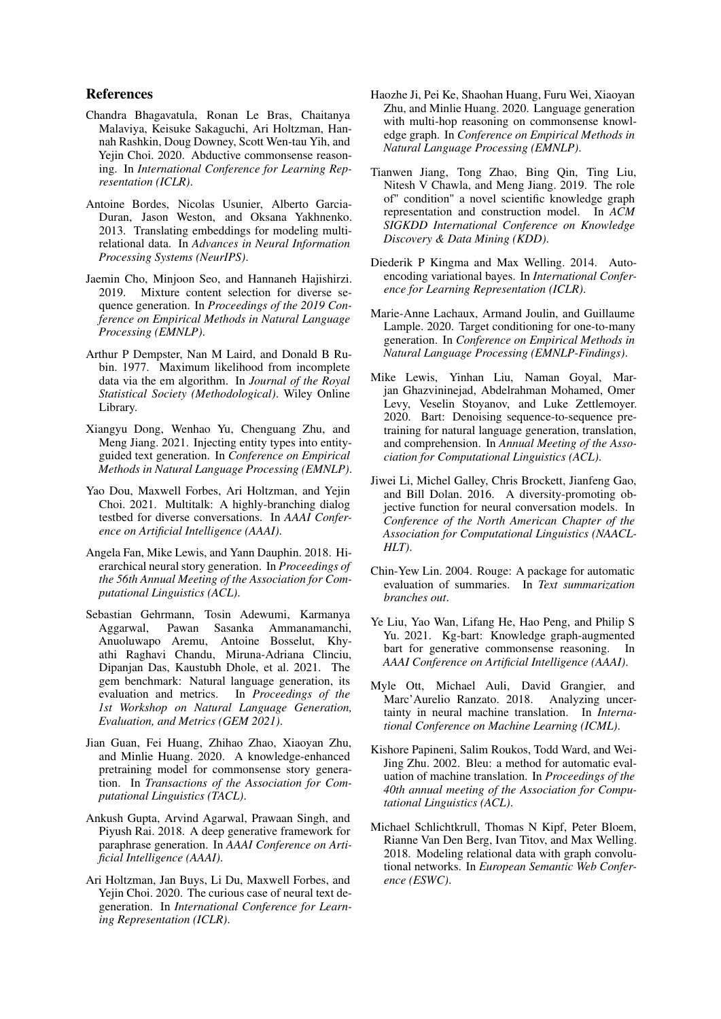# References

- <span id="page-9-9"></span>Chandra Bhagavatula, Ronan Le Bras, Chaitanya Malaviya, Keisuke Sakaguchi, Ari Holtzman, Hannah Rashkin, Doug Downey, Scott Wen-tau Yih, and Yejin Choi. 2020. Abductive commonsense reasoning. In *International Conference for Learning Representation (ICLR)*.
- <span id="page-9-12"></span>Antoine Bordes, Nicolas Usunier, Alberto Garcia-Duran, Jason Weston, and Oksana Yakhnenko. 2013. Translating embeddings for modeling multirelational data. In *Advances in Neural Information Processing Systems (NeurIPS)*.
- <span id="page-9-1"></span>Jaemin Cho, Minjoon Seo, and Hannaneh Hajishirzi. 2019. Mixture content selection for diverse sequence generation. In *Proceedings of the 2019 Conference on Empirical Methods in Natural Language Processing (EMNLP)*.
- <span id="page-9-13"></span>Arthur P Dempster, Nan M Laird, and Donald B Rubin. 1977. Maximum likelihood from incomplete data via the em algorithm. In *Journal of the Royal Statistical Society (Methodological)*. Wiley Online Library.
- <span id="page-9-5"></span>Xiangyu Dong, Wenhao Yu, Chenguang Zhu, and Meng Jiang. 2021. Injecting entity types into entityguided text generation. In *Conference on Empirical Methods in Natural Language Processing (EMNLP)*.
- <span id="page-9-3"></span>Yao Dou, Maxwell Forbes, Ari Holtzman, and Yejin Choi. 2021. Multitalk: A highly-branching dialog testbed for diverse conversations. In *AAAI Conference on Artificial Intelligence (AAAI)*.
- <span id="page-9-15"></span>Angela Fan, Mike Lewis, and Yann Dauphin. 2018. Hierarchical neural story generation. In *Proceedings of the 56th Annual Meeting of the Association for Computational Linguistics (ACL)*.
- <span id="page-9-17"></span>Sebastian Gehrmann, Tosin Adewumi, Karmanya Aggarwal, Pawan Sasanka Ammanamanchi, Anuoluwapo Aremu, Antoine Bosselut, Khyathi Raghavi Chandu, Miruna-Adriana Clinciu, Dipanjan Das, Kaustubh Dhole, et al. 2021. The gem benchmark: Natural language generation, its evaluation and metrics. In *Proceedings of the 1st Workshop on Natural Language Generation, Evaluation, and Metrics (GEM 2021)*.
- <span id="page-9-8"></span>Jian Guan, Fei Huang, Zhihao Zhao, Xiaoyan Zhu, and Minlie Huang. 2020. A knowledge-enhanced pretraining model for commonsense story generation. In *Transactions of the Association for Computational Linguistics (TACL)*.
- <span id="page-9-0"></span>Ankush Gupta, Arvind Agarwal, Prawaan Singh, and Piyush Rai. 2018. A deep generative framework for paraphrase generation. In *AAAI Conference on Artificial Intelligence (AAAI)*.
- <span id="page-9-2"></span>Ari Holtzman, Jan Buys, Li Du, Maxwell Forbes, and Yejin Choi. 2020. The curious case of neural text degeneration. In *International Conference for Learning Representation (ICLR)*.
- <span id="page-9-7"></span>Haozhe Ji, Pei Ke, Shaohan Huang, Furu Wei, Xiaoyan Zhu, and Minlie Huang. 2020. Language generation with multi-hop reasoning on commonsense knowledge graph. In *Conference on Empirical Methods in Natural Language Processing (EMNLP)*.
- <span id="page-9-6"></span>Tianwen Jiang, Tong Zhao, Bing Qin, Ting Liu, Nitesh V Chawla, and Meng Jiang. 2019. The role of" condition" a novel scientific knowledge graph representation and construction model. In *ACM SIGKDD International Conference on Knowledge Discovery & Data Mining (KDD)*.
- <span id="page-9-14"></span>Diederik P Kingma and Max Welling. 2014. Autoencoding variational bayes. In *International Conference for Learning Representation (ICLR)*.
- <span id="page-9-4"></span>Marie-Anne Lachaux, Armand Joulin, and Guillaume Lample. 2020. Target conditioning for one-to-many generation. In *Conference on Empirical Methods in Natural Language Processing (EMNLP-Findings)*.
- <span id="page-9-16"></span>Mike Lewis, Yinhan Liu, Naman Goyal, Marjan Ghazvininejad, Abdelrahman Mohamed, Omer Levy, Veselin Stoyanov, and Luke Zettlemoyer. 2020. Bart: Denoising sequence-to-sequence pretraining for natural language generation, translation, and comprehension. In *Annual Meeting of the Association for Computational Linguistics (ACL)*.
- <span id="page-9-21"></span>Jiwei Li, Michel Galley, Chris Brockett, Jianfeng Gao, and Bill Dolan. 2016. A diversity-promoting objective function for neural conversation models. In *Conference of the North American Chapter of the Association for Computational Linguistics (NAACL-HLT)*.
- <span id="page-9-20"></span>Chin-Yew Lin. 2004. Rouge: A package for automatic evaluation of summaries. In *Text summarization branches out*.
- <span id="page-9-10"></span>Ye Liu, Yao Wan, Lifang He, Hao Peng, and Philip S Yu. 2021. Kg-bart: Knowledge graph-augmented bart for generative commonsense reasoning. In *AAAI Conference on Artificial Intelligence (AAAI)*.
- <span id="page-9-18"></span>Myle Ott, Michael Auli, David Grangier, and Marc'Aurelio Ranzato. 2018. Analyzing uncertainty in neural machine translation. In *International Conference on Machine Learning (ICML)*.
- <span id="page-9-19"></span>Kishore Papineni, Salim Roukos, Todd Ward, and Wei-Jing Zhu. 2002. Bleu: a method for automatic evaluation of machine translation. In *Proceedings of the 40th annual meeting of the Association for Computational Linguistics (ACL)*.
- <span id="page-9-11"></span>Michael Schlichtkrull, Thomas N Kipf, Peter Bloem, Rianne Van Den Berg, Ivan Titov, and Max Welling. 2018. Modeling relational data with graph convolutional networks. In *European Semantic Web Conference (ESWC)*.